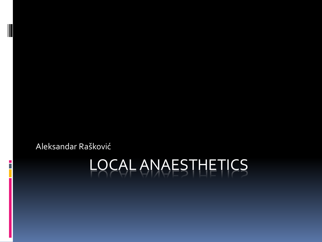Aleksandar Rašković

# LOCAL ANAESTHETICS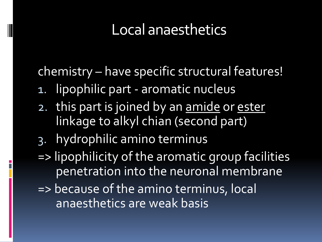chemistry – have specific structural features!

- 1. lipophilic part aromatic nucleus
- 2. this part is joined by an amide or ester linkage to alkyl chian (second part)
- 3. hydrophilic amino terminus
- => lipophilicity of the aromatic group facilities penetration into the neuronal membrane
- => because of the amino terminus, local anaesthetics are weak basis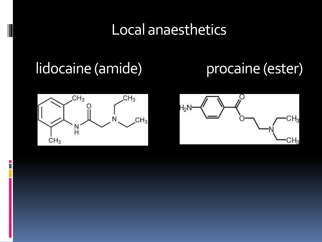## lidocaine (amide) procaine (ester)



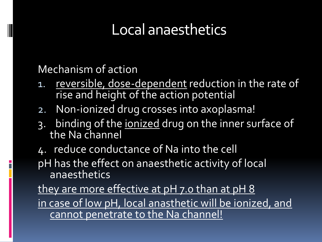Mechanism of action

- 1. reversible, dose-dependent reduction in the rate of rise and height of the action potential
- 2. Non-ionized drug crosses into axoplasma!
- 3. binding of the ionized drug on the inner surface of the Na channel
- 4. reduce conductance of Na into the cell

pH has the effect on anaesthetic activity of local anaesthetics

they are more effective at pH 7.0 than at pH 8 in case of low pH, local anasthetic will be ionized, and cannot penetrate to the Na channel!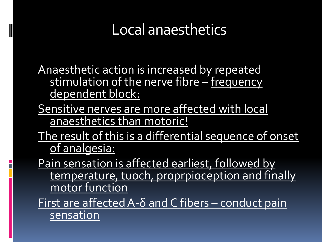Anaesthetic action is increased by repeated stimulation of the nerve fibre – frequency dependent block:

- Sensitive nerves are more affected with local anaesthetics than motoric!
- The result of this is a differential sequence of onset of analgesia:

Pain sensation is affected earliest, followed by temperature, tuoch, proprpioception and finally motor function

First are affected A- $\delta$  and C fibers – conduct pain sensation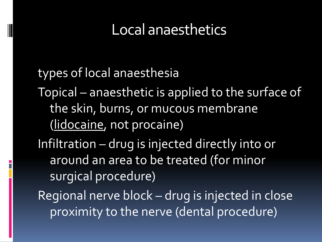types of local anaesthesia Topical – anaesthetic is applied to the surface of the skin, burns, or mucous membrane (lidocaine, not procaine) Infiltration – drug is injected directly into or around an area to be treated (for minor surgical procedure) Regional nerve block – drug is injected in close proximity to the nerve (dental procedure)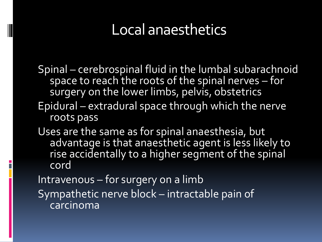Spinal – cerebrospinal fluid in the lumbal subarachnoid space to reach the roots of the spinal nerves – for surgery on the lower limbs, pelvis, obstetrics

- Epidural extradural space through which the nerve roots pass
- Uses are the same as for spinal anaesthesia, but advantage is that anaesthetic agent is less likely to rise accidentally to a higher segment of the spinal cord

Intravenous – for surgery on a limb

Sympathetic nerve block – intractable pain of carcinoma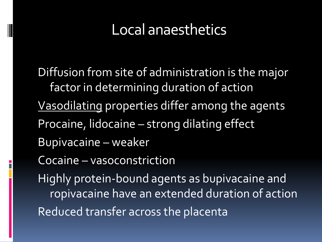Diffusion from site of administration is the major factor in determining duration of action Vasodilating properties differ among the agents Procaine, lidocaine – strong dilating effect Bupivacaine – weaker Cocaine – vasoconstriction Highly protein-bound agents as bupivacaine and ropivacaine have an extended duration of action Reduced transfer across the placenta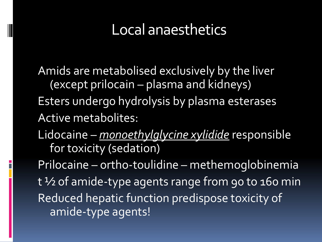Amids are metabolised exclusively by the liver (except prilocain – plasma and kidneys) Esters undergo hydrolysis by plasma esterases Active metabolites:

Lidocaine – *monoethylglycine xylidide* responsible for toxicity (sedation)

Prilocaine – ortho-toulidine – methemoglobinemia t <sup>1</sup>/2 of amide-type agents range from 90 to 160 min Reduced hepatic function predispose toxicity of amide-type agents!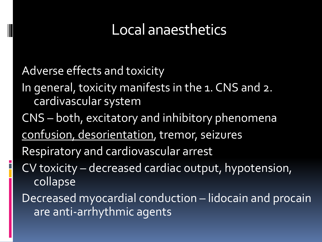Adverse effects and toxicity In general, toxicity manifests in the 1. CNS and 2. cardivascular system CNS – both, excitatory and inhibitory phenomena confusion, desorientation, tremor, seizures Respiratory and cardiovascular arrest CV toxicity – decreased cardiac output, hypotension, collapse Decreased myocardial conduction – lidocain and procain are anti-arrhythmic agents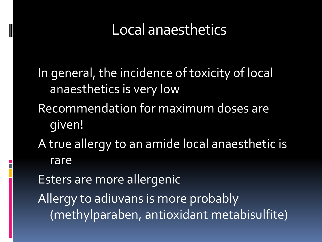In general, the incidence of toxicity of local anaesthetics is very low Recommendation for maximum doses are given! A true allergy to an amide local anaesthetic is rare

Esters are more allergenic Allergy to adiuvans is more probably (methylparaben, antioxidant metabisulfite)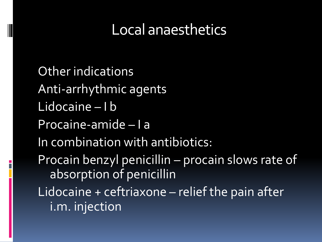Other indications Anti-arrhythmic agents Lidocaine – I b Procaine-amide – I a In combination with antibiotics: Procain benzyl penicillin – procain slows rate of absorption of penicillin Lidocaine + ceftriaxone – relief the pain after i.m. injection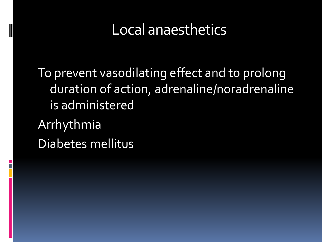To prevent vasodilating effect and to prolong duration of action, adrenaline/noradrenaline is administered Arrhythmia Diabetes mellitus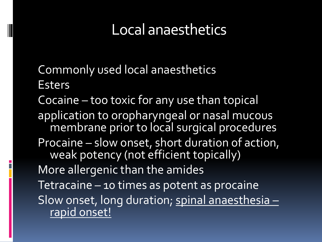- Commonly used local anaesthetics Esters
- Cocaine too toxic for any use than topical application to oropharyngeal or nasal mucous membrane prior to local surgical procedures Procaine – slow onset, short duration of action, weak potency (not efficient topically) More allergenic than the amides Tetracaine – 10 times as potent as procaine Slow onset, long duration; spinal anaesthesia – rapid onset!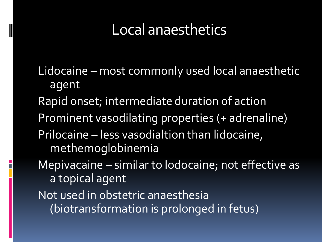Lidocaine – most commonly used local anaesthetic agent Rapid onset; intermediate duration of action Prominent vasodilating properties (+ adrenaline) Prilocaine – less vasodialtion than lidocaine, methemoglobinemia Mepivacaine – similar to lodocaine; not effective as a topical agent Not used in obstetric anaesthesia (biotransformation is prolonged in fetus)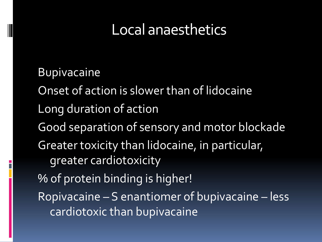Bupivacaine Onset of action is slower than of lidocaine Long duration of action Good separation of sensory and motor blockade Greater toxicity than lidocaine, in particular, greater cardiotoxicity % of protein binding is higher! Ropivacaine – S enantiomer of bupivacaine – less cardiotoxic than bupivacaine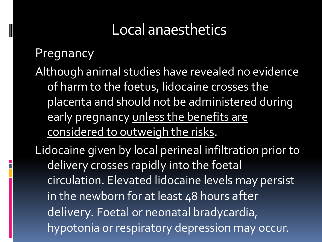#### Pregnancy

Although animal studies have revealed no evidence of harm to the foetus, lidocaine crosses the placenta and should not be administered during early pregnancy unless the benefits are considered to outweigh the risks.

Lidocaine given by local perineal infiltration prior to delivery crosses rapidly into the foetal circulation. Elevated lidocaine levels may persist in the newborn for at least 48 hours after delivery. Foetal or neonatal bradycardia, hypotonia or respiratory depression may occur.